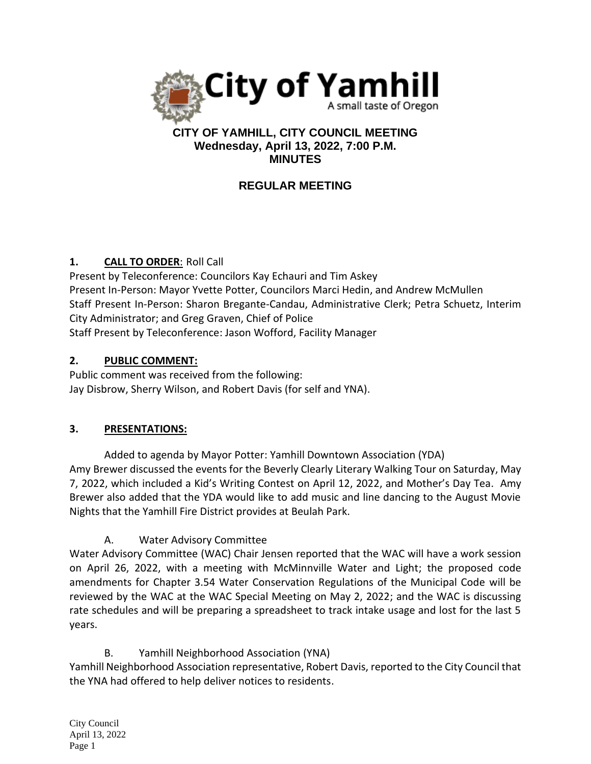

### **CITY OF YAMHILL, CITY COUNCIL MEETING Wednesday, April 13, 2022, 7:00 P.M. MINUTES**

# **REGULAR MEETING**

### **1. CALL TO ORDER**: Roll Call

Present by Teleconference: Councilors Kay Echauri and Tim Askey Present In-Person: Mayor Yvette Potter, Councilors Marci Hedin, and Andrew McMullen Staff Present In-Person: Sharon Bregante-Candau, Administrative Clerk; Petra Schuetz, Interim City Administrator; and Greg Graven, Chief of Police Staff Present by Teleconference: Jason Wofford, Facility Manager

#### **2. PUBLIC COMMENT:**

Public comment was received from the following: Jay Disbrow, Sherry Wilson, and Robert Davis (for self and YNA).

# **3. PRESENTATIONS:**

Added to agenda by Mayor Potter: Yamhill Downtown Association (YDA) Amy Brewer discussed the events for the Beverly Clearly Literary Walking Tour on Saturday, May 7, 2022, which included a Kid's Writing Contest on April 12, 2022, and Mother's Day Tea. Amy Brewer also added that the YDA would like to add music and line dancing to the August Movie Nights that the Yamhill Fire District provides at Beulah Park.

# A. Water Advisory Committee

Water Advisory Committee (WAC) Chair Jensen reported that the WAC will have a work session on April 26, 2022, with a meeting with McMinnville Water and Light; the proposed code amendments for Chapter 3.54 Water Conservation Regulations of the Municipal Code will be reviewed by the WAC at the WAC Special Meeting on May 2, 2022; and the WAC is discussing rate schedules and will be preparing a spreadsheet to track intake usage and lost for the last 5 years.

# B. Yamhill Neighborhood Association (YNA)

Yamhill Neighborhood Association representative, Robert Davis, reported to the City Council that the YNA had offered to help deliver notices to residents.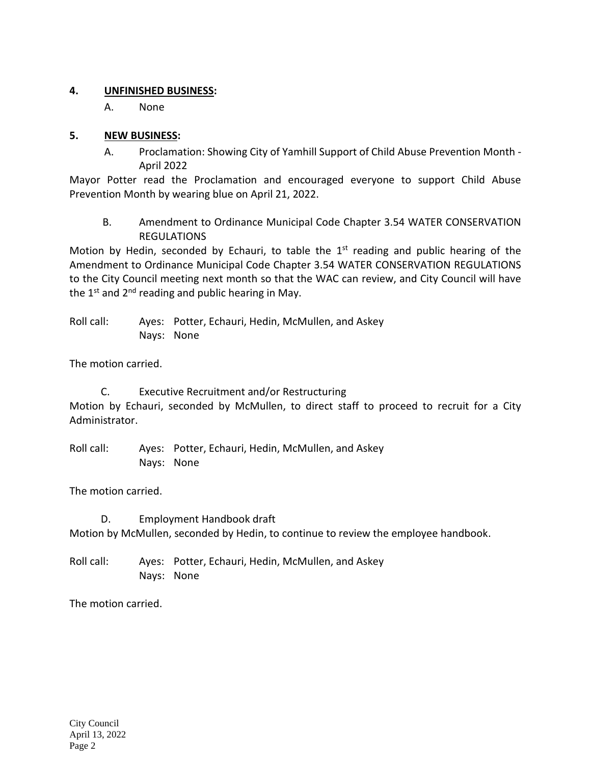#### **4. UNFINISHED BUSINESS:**

A. None

### **5. NEW BUSINESS:**

A. Proclamation: Showing City of Yamhill Support of Child Abuse Prevention Month - April 2022

Mayor Potter read the Proclamation and encouraged everyone to support Child Abuse Prevention Month by wearing blue on April 21, 2022.

B. Amendment to Ordinance Municipal Code Chapter 3.54 WATER CONSERVATION REGULATIONS

Motion by Hedin, seconded by Echauri, to table the  $1<sup>st</sup>$  reading and public hearing of the Amendment to Ordinance Municipal Code Chapter 3.54 WATER CONSERVATION REGULATIONS to the City Council meeting next month so that the WAC can review, and City Council will have the  $1<sup>st</sup>$  and  $2<sup>nd</sup>$  reading and public hearing in May.

Roll call: Ayes: Potter, Echauri, Hedin, McMullen, and Askey Nays: None

The motion carried.

 C. Executive Recruitment and/or Restructuring Motion by Echauri, seconded by McMullen, to direct staff to proceed to recruit for a City Administrator.

Roll call: Ayes: Potter, Echauri, Hedin, McMullen, and Askey Nays: None

The motion carried.

 D. Employment Handbook draft Motion by McMullen, seconded by Hedin, to continue to review the employee handbook.

Roll call: Ayes: Potter, Echauri, Hedin, McMullen, and Askey Nays: None

The motion carried.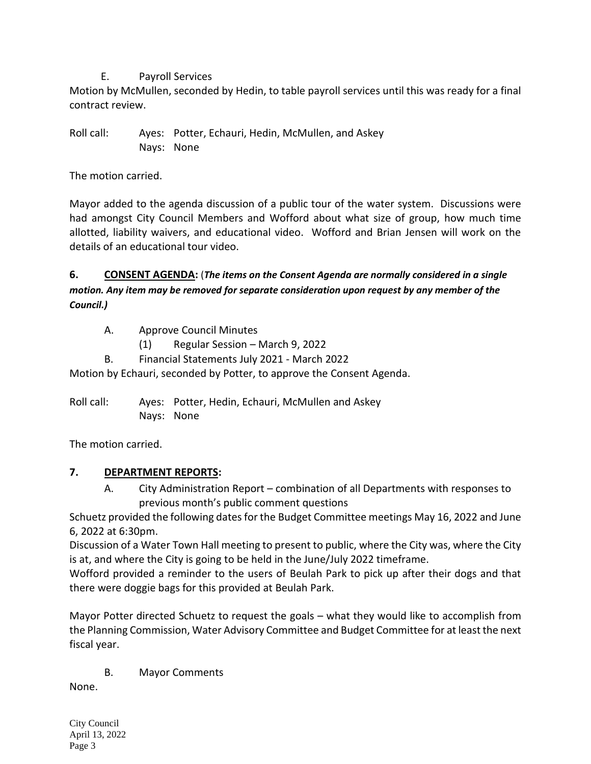### E. Payroll Services

Motion by McMullen, seconded by Hedin, to table payroll services until this was ready for a final contract review.

Roll call: Ayes: Potter, Echauri, Hedin, McMullen, and Askey Nays: None

The motion carried.

Mayor added to the agenda discussion of a public tour of the water system. Discussions were had amongst City Council Members and Wofford about what size of group, how much time allotted, liability waivers, and educational video. Wofford and Brian Jensen will work on the details of an educational tour video.

# **6. CONSENT AGENDA:** (*The items on the Consent Agenda are normally considered in a single motion. Any item may be removed for separate consideration upon request by any member of the Council.)*

- A. Approve Council Minutes
	- (1) Regular Session March 9, 2022
- B. Financial Statements July 2021 March 2022

Motion by Echauri, seconded by Potter, to approve the Consent Agenda.

Roll call: Ayes: Potter, Hedin, Echauri, McMullen and Askey Nays: None

The motion carried.

# **7. DEPARTMENT REPORTS:**

A. City Administration Report – combination of all Departments with responses to previous month's public comment questions

Schuetz provided the following dates for the Budget Committee meetings May 16, 2022 and June 6, 2022 at 6:30pm.

Discussion of a Water Town Hall meeting to present to public, where the City was, where the City is at, and where the City is going to be held in the June/July 2022 timeframe.

Wofford provided a reminder to the users of Beulah Park to pick up after their dogs and that there were doggie bags for this provided at Beulah Park.

Mayor Potter directed Schuetz to request the goals – what they would like to accomplish from the Planning Commission, Water Advisory Committee and Budget Committee for at least the next fiscal year.

B. Mayor Comments

None.

City Council April 13, 2022 Page 3